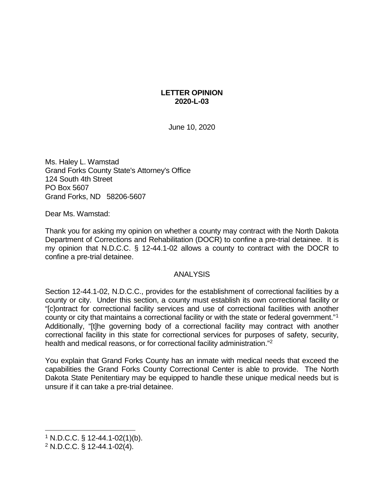## **LETTER OPINION 2020-L-03**

June 10, 2020

Ms. Haley L. Wamstad Grand Forks County State's Attorney's Office 124 South 4th Street PO Box 5607 Grand Forks, ND 58206-5607

Dear Ms. Wamstad:

Thank you for asking my opinion on whether a county may contract with the North Dakota Department of Corrections and Rehabilitation (DOCR) to confine a pre-trial detainee. It is my opinion that N.D.C.C. § 12-44.1-02 allows a county to contract with the DOCR to confine a pre-trial detainee.

## ANALYSIS

Section 12-44.1-02, N.D.C.C., provides for the establishment of correctional facilities by a county or city. Under this section, a county must establish its own correctional facility or "[c]ontract for correctional facility services and use of correctional facilities with another county or city that maintains a correctional facility or with the state or federal government."[1](#page-0-0) Additionally, "[t]he governing body of a correctional facility may contract with another correctional facility in this state for correctional services for purposes of safety, security, health and medical reasons, or for correctional facility administration."<sup>2</sup>

You explain that Grand Forks County has an inmate with medical needs that exceed the capabilities the Grand Forks County Correctional Center is able to provide. The North Dakota State Penitentiary may be equipped to handle these unique medical needs but is unsure if it can take a pre-trial detainee.

<span id="page-0-0"></span> $1$  N.D.C.C. § 12-44.1-02(1)(b).

<span id="page-0-1"></span><sup>2</sup> N.D.C.C. § 12-44.1-02(4).